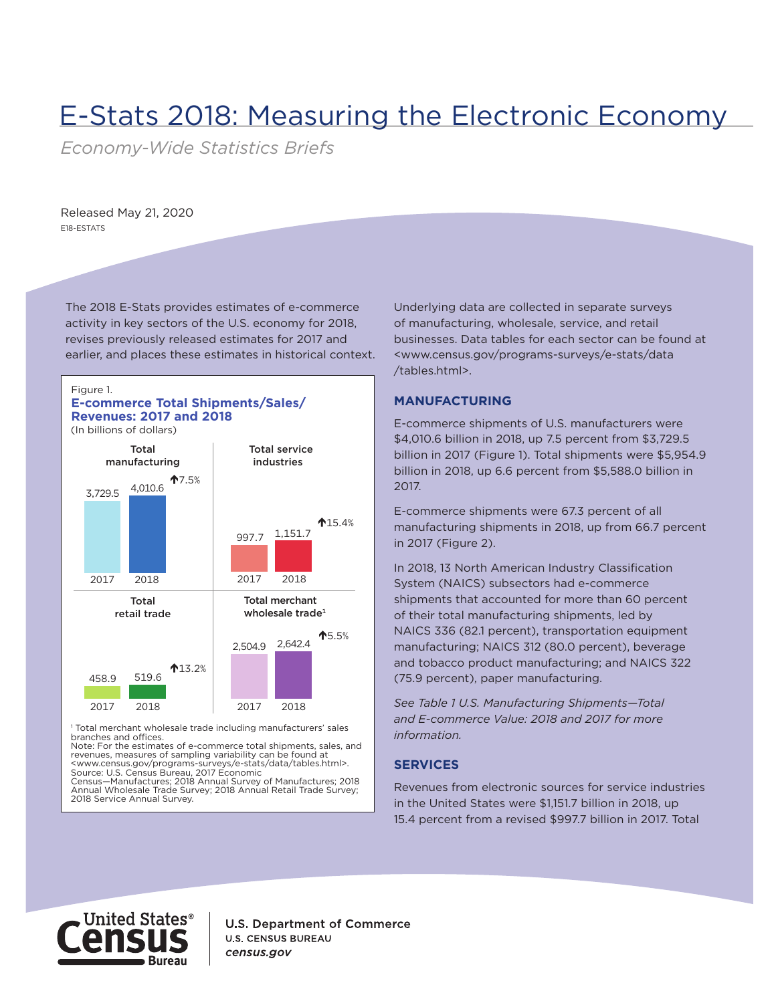# E-Stats 2018: Measuring the Electronic Economy

*Economy-Wide Statistics Briefs*

Released May 21, 2020 E18-ESTATS

The 2018 E-Stats provides estimates of e-commerce activity in key sectors of the U.S. economy for 2018, revises previously released estimates for 2017 and earlier, and places these estimates in historical context.



# **E-commerce Total Shipments/Sales/ Revenues: 2017 and 2018**

(In billions of dollars)



<sup>1</sup> Total merchant wholesale trade including manufacturers' sales branches and offices.

Note: For the estimates of e-commerce total shipments, sales, and revenues, measures of sampling variability can be found at <www.census.gov/programs-surveys/e-stats/data/tables.html>. Source: U.S. Census Bureau, 2017 Economic

Manufactures; 2018 Annual Survey of Manufactures; 2018 Annual Wholesale Trade Survey; 2018 Annual Retail Trade Survey; 2018 Service Annual Survey.

Underlying data are collected in separate surveys of manufacturing, wholesale, service, and retail businesses. Data tables for each sector can be found at <www.census.gov/programs-surveys/e-stats/data /tables.html>.

## **MANUFACTURING**

E-commerce shipments of U.S. manufacturers were \$4,010.6 billion in 2018, up 7.5 percent from \$3,729.5 billion in 2017 (Figure 1). Total shipments were \$5,954.9 billion in 2018, up 6.6 percent from \$5,588.0 billion in 2017.

E-commerce shipments were 67.3 percent of all manufacturing shipments in 2018, up from 66.7 percent in 2017 (Figure 2).

In 2018, 13 North American Industry Classification System (NAICS) subsectors had e-commerce shipments that accounted for more than 60 percent of their total manufacturing shipments, led by NAICS 336 (82.1 percent), transportation equipment manufacturing; NAICS 312 (80.0 percent), beverage and tobacco product manufacturing; and NAICS 322 (75.9 percent), paper manufacturing.

*See Table 1 U.S. Manufacturing Shipments—Total and E-commerce Value: 2018 and 2017 for more information.*

# **SERVICES**

Revenues from electronic sources for service industries in the United States were \$1,151.7 billion in 2018, up 15.4 percent from a revised \$997.7 billion in 2017. Total



**U.S. Department of Commerce U.S. CENSUS BUREAU** census.gov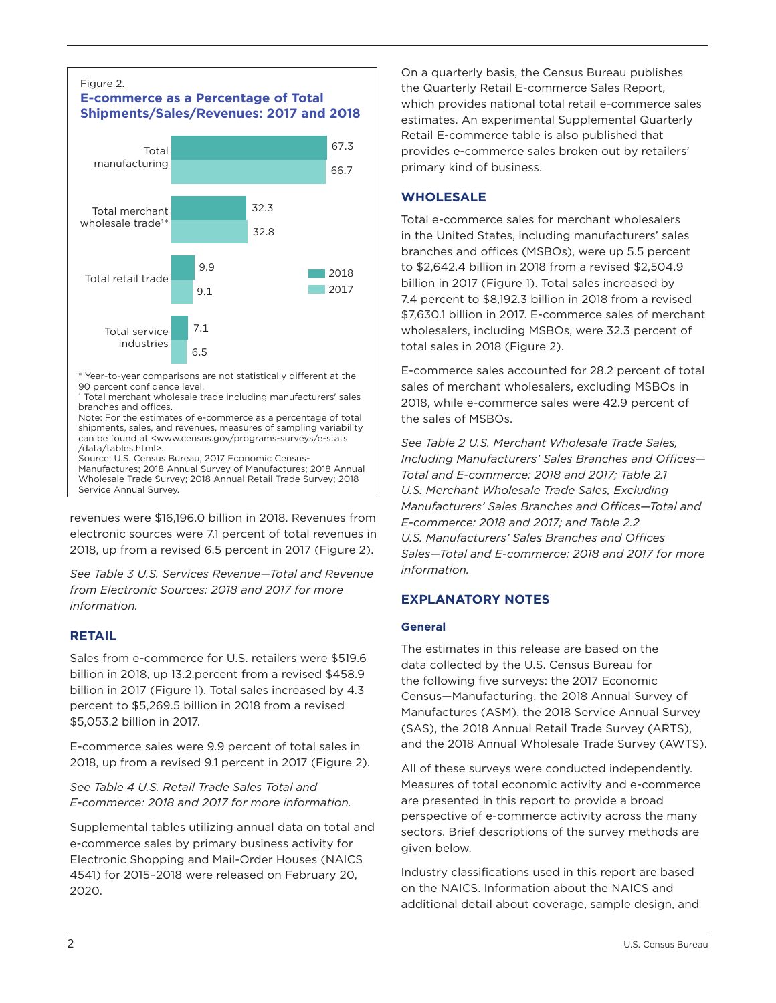

revenues were \$16,196.0 billion in 2018. Revenues from electronic sources were 7.1 percent of total revenues in 2018, up from a revised 6.5 percent in 2017 (Figure 2).

*See Table 3 U.S. Services Revenue—Total and Revenue from Electronic Sources: 2018 and 2017 for more information.*

# **RETAIL**

Sales from e-commerce for U.S. retailers were \$519.6 billion in 2018, up 13.2.percent from a revised \$458.9 billion in 2017 (Figure 1). Total sales increased by 4.3 percent to \$5,269.5 billion in 2018 from a revised \$5,053.2 billion in 2017.

E-commerce sales were 9.9 percent of total sales in 2018, up from a revised 9.1 percent in 2017 (Figure 2).

*See Table 4 U.S. Retail Trade Sales Total and E-commerce: 2018 and 2017 for more information.*

Supplemental tables utilizing annual data on total and e-commerce sales by primary business activity for Electronic Shopping and Mail-Order Houses (NAICS 4541) for 2015–2018 were released on February 20, 2020.

On a quarterly basis, the Census Bureau publishes the Quarterly Retail E-commerce Sales Report, which provides national total retail e-commerce sales estimates. An experimental Supplemental Quarterly Retail E-commerce table is also published that provides e-commerce sales broken out by retailers' primary kind of business.

# **WHOLESALE**

Total e-commerce sales for merchant wholesalers in the United States, including manufacturers' sales branches and offices (MSBOs), were up 5.5 percent to \$2,642.4 billion in 2018 from a revised \$2,504.9 billion in 2017 (Figure 1). Total sales increased by 7.4 percent to \$8,192.3 billion in 2018 from a revised \$7,630.1 billion in 2017. E-commerce sales of merchant wholesalers, including MSBOs, were 32.3 percent of total sales in 2018 (Figure 2).

E-commerce sales accounted for 28.2 percent of total sales of merchant wholesalers, excluding MSBOs in 2018, while e-commerce sales were 42.9 percent of the sales of MSBOs.

*See Table 2 U.S. Merchant Wholesale Trade Sales, Including Manufacturers' Sales Branches and Offices— Total and E-commerce: 2018 and 2017; Table 2.1 U.S. Merchant Wholesale Trade Sales, Excluding Manufacturers' Sales Branches and Offices—Total and E-commerce: 2018 and 2017; and Table 2.2 U.S. Manufacturers' Sales Branches and Offices Sales—Total and E-commerce: 2018 and 2017 for more information.*

# **EXPLANATORY NOTES**

## **General**

The estimates in this release are based on the data collected by the U.S. Census Bureau for the following five surveys: the 2017 Economic Census—Manufacturing, the 2018 Annual Survey of Manufactures (ASM), the 2018 Service Annual Survey (SAS), the 2018 Annual Retail Trade Survey (ARTS), and the 2018 Annual Wholesale Trade Survey (AWTS).

All of these surveys were conducted independently. Measures of total economic activity and e-commerce are presented in this report to provide a broad perspective of e-commerce activity across the many sectors. Brief descriptions of the survey methods are given below.

Industry classifications used in this report are based on the NAICS. Information about the NAICS and additional detail about coverage, sample design, and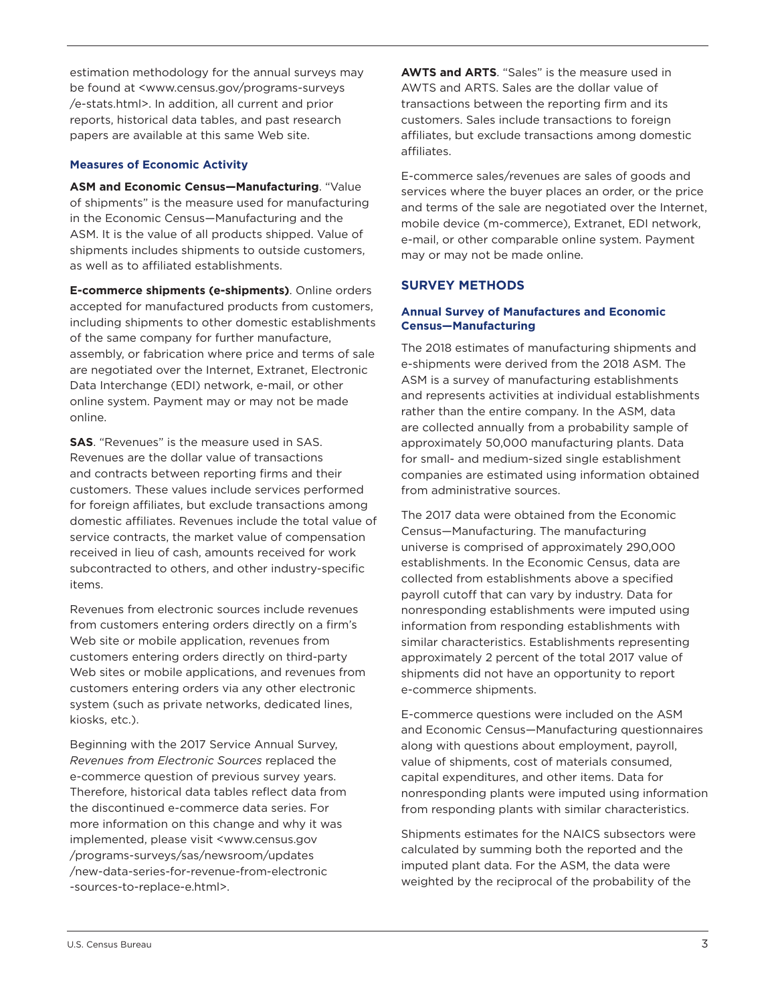online system. Payment may or may not be made online.

**Measures of Economic Activity**

as well as to affiliated establishments.

**SAS**. "Revenues" is the measure used in SAS. Revenues are the dollar value of transactions and contracts between reporting firms and their customers. These values include services performed for foreign affiliates, but exclude transactions among domestic affiliates. Revenues include the total value of service contracts, the market value of compensation received in lieu of cash, amounts received for work subcontracted to others, and other industry-specific items.

estimation methodology for the annual surveys may be found at <www.census.gov/programs-surveys /e-stats.html>. In addition, all current and prior reports, historical data tables, and past research papers are available at this same Web site.

**ASM and Economic Census—Manufacturing**. "Value of shipments" is the measure used for manufacturing in the Economic Census—Manufacturing and the ASM. It is the value of all products shipped. Value of shipments includes shipments to outside customers,

**E-commerce shipments (e-shipments)**. Online orders accepted for manufactured products from customers, including shipments to other domestic establishments

assembly, or fabrication where price and terms of sale are negotiated over the Internet, Extranet, Electronic Data Interchange (EDI) network, e-mail, or other

of the same company for further manufacture,

Revenues from electronic sources include revenues from customers entering orders directly on a firm's Web site or mobile application, revenues from customers entering orders directly on third-party Web sites or mobile applications, and revenues from customers entering orders via any other electronic system (such as private networks, dedicated lines, kiosks, etc.).

Beginning with the 2017 Service Annual Survey, *Revenues from Electronic Sources* replaced the e-commerce question of previous survey years. Therefore, historical data tables reflect data from the discontinued e-commerce data series. For more information on this change and why it was implemented, please visit <www.census.gov /programs-surveys/sas/newsroom/updates /new-data-series-for-revenue-from-electronic -sources-to-replace-e.html>.

**AWTS and ARTS**. "Sales" is the measure used in AWTS and ARTS. Sales are the dollar value of transactions between the reporting firm and its customers. Sales include transactions to foreign affiliates, but exclude transactions among domestic affiliates.

E-commerce sales/revenues are sales of goods and services where the buyer places an order, or the price and terms of the sale are negotiated over the Internet, mobile device (m-commerce), Extranet, EDI network, e-mail, or other comparable online system. Payment may or may not be made online.

## **SURVEY METHODS**

#### **Annual Survey of Manufactures and Economic Census—Manufacturing**

The 2018 estimates of manufacturing shipments and e-shipments were derived from the 2018 ASM. The ASM is a survey of manufacturing establishments and represents activities at individual establishments rather than the entire company. In the ASM, data are collected annually from a probability sample of approximately 50,000 manufacturing plants. Data for small- and medium-sized single establishment companies are estimated using information obtained from administrative sources.

The 2017 data were obtained from the Economic Census—Manufacturing. The manufacturing universe is comprised of approximately 290,000 establishments. In the Economic Census, data are collected from establishments above a specified payroll cutoff that can vary by industry. Data for nonresponding establishments were imputed using information from responding establishments with similar characteristics. Establishments representing approximately 2 percent of the total 2017 value of shipments did not have an opportunity to report e-commerce shipments.

E-commerce questions were included on the ASM and Economic Census—Manufacturing questionnaires along with questions about employment, payroll, value of shipments, cost of materials consumed, capital expenditures, and other items. Data for nonresponding plants were imputed using information from responding plants with similar characteristics.

Shipments estimates for the NAICS subsectors were calculated by summing both the reported and the imputed plant data. For the ASM, the data were weighted by the reciprocal of the probability of the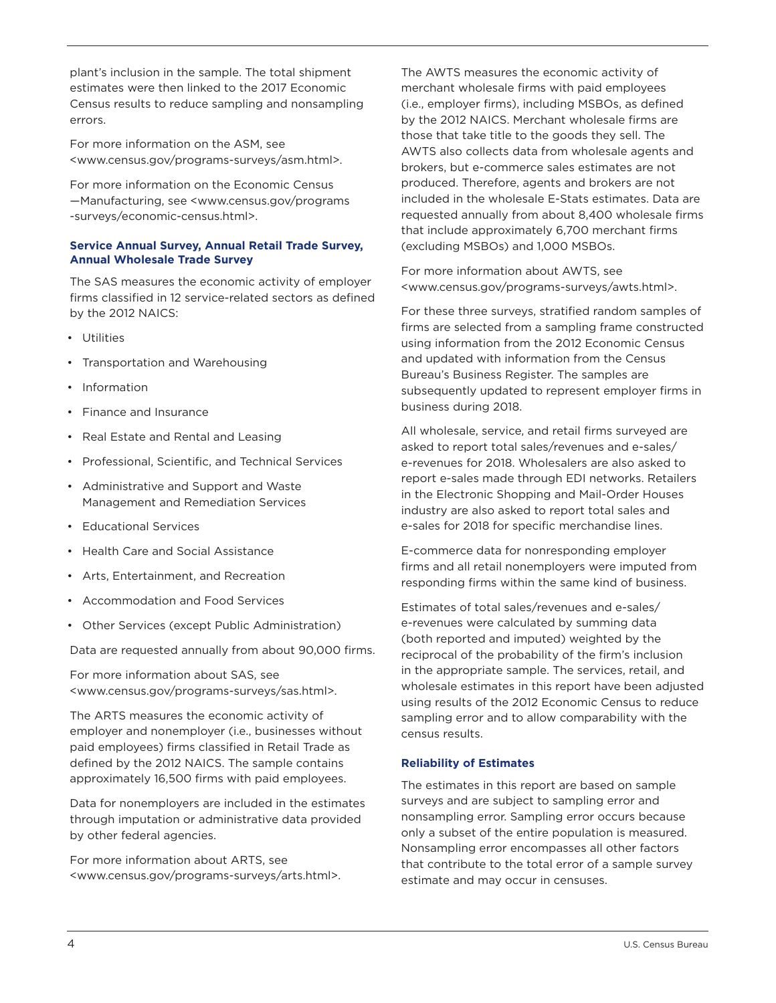plant's inclusion in the sample. The total shipment estimates were then linked to the 2017 Economic Census results to reduce sampling and nonsampling errors.

For more information on the ASM, see <www.census.gov/programs-surveys/asm.html>.

For more information on the Economic Census —Manufacturing, see <www.census.gov/programs -surveys/economic-census.html>.

## **Service Annual Survey, Annual Retail Trade Survey, Annual Wholesale Trade Survey**

The SAS measures the economic activity of employer firms classified in 12 service-related sectors as defined by the 2012 NAICS:

- Utilities
- Transportation and Warehousing
- Information
- Finance and Insurance
- Real Estate and Rental and Leasing
- Professional, Scientific, and Technical Services
- Administrative and Support and Waste Management and Remediation Services
- Educational Services
- Health Care and Social Assistance
- Arts, Entertainment, and Recreation
- Accommodation and Food Services
- Other Services (except Public Administration)

Data are requested annually from about 90,000 firms.

For more information about SAS, see <www.census.gov/programs-surveys/sas.html>.

The ARTS measures the economic activity of employer and nonemployer (i.e., businesses without paid employees) firms classified in Retail Trade as defined by the 2012 NAICS. The sample contains approximately 16,500 firms with paid employees.

Data for nonemployers are included in the estimates through imputation or administrative data provided by other federal agencies.

For more information about ARTS, see <www.census.gov/programs-surveys/arts.html>. The AWTS measures the economic activity of merchant wholesale firms with paid employees (i.e., employer firms), including MSBOs, as defined by the 2012 NAICS. Merchant wholesale firms are those that take title to the goods they sell. The AWTS also collects data from wholesale agents and brokers, but e-commerce sales estimates are not produced. Therefore, agents and brokers are not included in the wholesale E-Stats estimates. Data are requested annually from about 8,400 wholesale firms that include approximately 6,700 merchant firms (excluding MSBOs) and 1,000 MSBOs.

For more information about AWTS, see <www.census.gov/programs-surveys/awts.html>.

For these three surveys, stratified random samples of firms are selected from a sampling frame constructed using information from the 2012 Economic Census and updated with information from the Census Bureau's Business Register. The samples are subsequently updated to represent employer firms in business during 2018.

All wholesale, service, and retail firms surveyed are asked to report total sales/revenues and e-sales/ e-revenues for 2018. Wholesalers are also asked to report e-sales made through EDI networks. Retailers in the Electronic Shopping and Mail-Order Houses industry are also asked to report total sales and e-sales for 2018 for specific merchandise lines.

E-commerce data for nonresponding employer firms and all retail nonemployers were imputed from responding firms within the same kind of business.

Estimates of total sales/revenues and e-sales/ e-revenues were calculated by summing data (both reported and imputed) weighted by the reciprocal of the probability of the firm's inclusion in the appropriate sample. The services, retail, and wholesale estimates in this report have been adjusted using results of the 2012 Economic Census to reduce sampling error and to allow comparability with the census results.

## **Reliability of Estimates**

The estimates in this report are based on sample surveys and are subject to sampling error and nonsampling error. Sampling error occurs because only a subset of the entire population is measured. Nonsampling error encompasses all other factors that contribute to the total error of a sample survey estimate and may occur in censuses.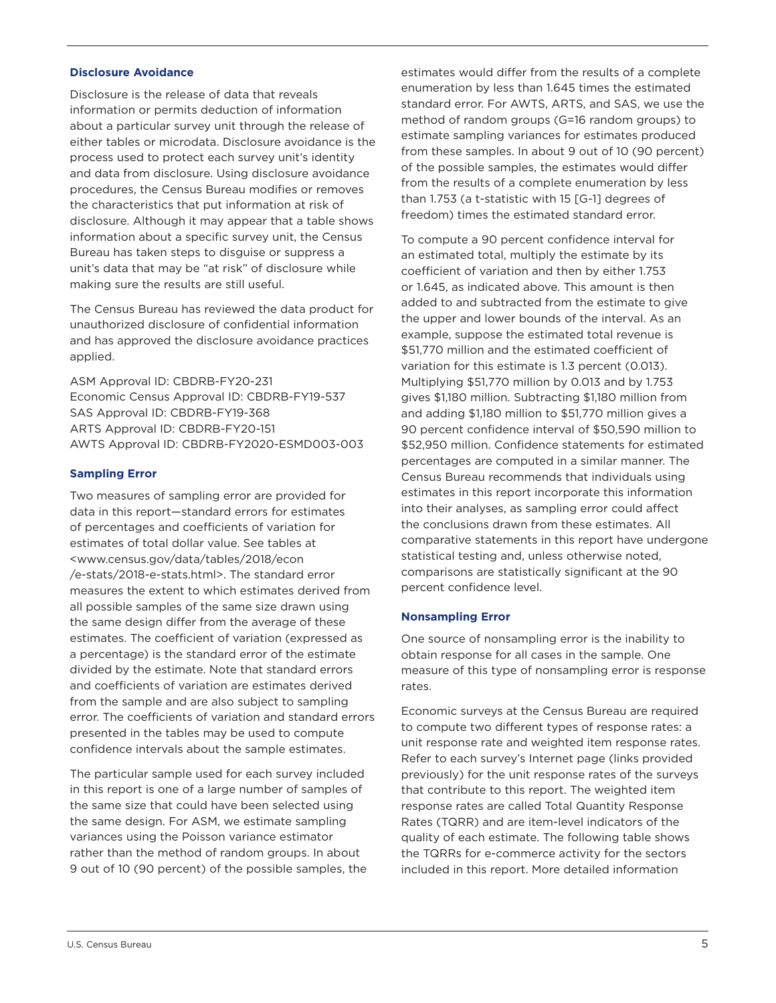#### **Disclosure Avoidance**

Disclosure is the release of data that reveals information or permits deduction of information about a particular survey unit through the release of either tables or microdata. Disclosure avoidance is the process used to protect each survey unit's identity and data from disclosure. Using disclosure avoidance procedures, the Census Bureau modifies or removes the characteristics that put information at risk of disclosure. Although it may appear that a table shows information about a specific survey unit, the Census Bureau has taken steps to disguise or suppress a unit's data that may be "at risk" of disclosure while making sure the results are still useful.

The Census Bureau has reviewed the data product for unauthorized disclosure of confidential information and has approved the disclosure avoidance practices applied.

ASM Approval ID: CBDRB-FY20-231 Economic Census Approval ID: CBDRB-FY19-537 SAS Approval ID: CBDRB-FY19-368 ARTS Approval ID: CBDRB-FY20-151 AWTS Approval ID: CBDRB-FY2020-ESMD003-003

## **Sampling Error**

Two measures of sampling error are provided for data in this report—standard errors for estimates of percentages and coefficients of variation for estimates of total dollar value. See tables at <www.census.gov/data/tables/2018/econ /e-stats/2018-e-stats.html>. The standard error measures the extent to which estimates derived from all possible samples of the same size drawn using the same design differ from the average of these estimates. The coefficient of variation (expressed as a percentage) is the standard error of the estimate divided by the estimate. Note that standard errors and coefficients of variation are estimates derived from the sample and are also subject to sampling error. The coefficients of variation and standard errors presented in the tables may be used to compute confidence intervals about the sample estimates.

The particular sample used for each survey included in this report is one of a large number of samples of the same size that could have been selected using the same design. For ASM, we estimate sampling variances using the Poisson variance estimator rather than the method of random groups. In about 9 out of 10 (90 percent) of the possible samples, the estimates would differ from the results of a complete enumeration by less than 1.645 times the estimated standard error. For AWTS, ARTS, and SAS, we use the method of random groups (G=16 random groups) to estimate sampling variances for estimates produced from these samples. In about 9 out of 10 (90 percent) of the possible samples, the estimates would differ from the results of a complete enumeration by less than 1.753 (a t-statistic with 15 [G-1] degrees of freedom) times the estimated standard error.

To compute a 90 percent confidence interval for an estimated total, multiply the estimate by its coefficient of variation and then by either 1.753 or 1.645, as indicated above. This amount is then added to and subtracted from the estimate to give the upper and lower bounds of the interval. As an example, suppose the estimated total revenue is \$51,770 million and the estimated coefficient of variation for this estimate is 1.3 percent (0.013). Multiplying \$51,770 million by 0.013 and by 1.753 gives \$1,180 million. Subtracting \$1,180 million from and adding \$1,180 million to \$51,770 million gives a 90 percent confidence interval of \$50,590 million to \$52,950 million. Confidence statements for estimated percentages are computed in a similar manner. The Census Bureau recommends that individuals using estimates in this report incorporate this information into their analyses, as sampling error could affect the conclusions drawn from these estimates. All comparative statements in this report have undergone statistical testing and, unless otherwise noted, comparisons are statistically significant at the 90 percent confidence level.

## **Nonsampling Error**

One source of nonsampling error is the inability to obtain response for all cases in the sample. One measure of this type of nonsampling error is response rates.

Economic surveys at the Census Bureau are required to compute two different types of response rates: a unit response rate and weighted item response rates. Refer to each survey's Internet page (links provided previously) for the unit response rates of the surveys that contribute to this report. The weighted item response rates are called Total Quantity Response Rates (TQRR) and are item-level indicators of the quality of each estimate. The following table shows the TQRRs for e-commerce activity for the sectors included in this report. More detailed information